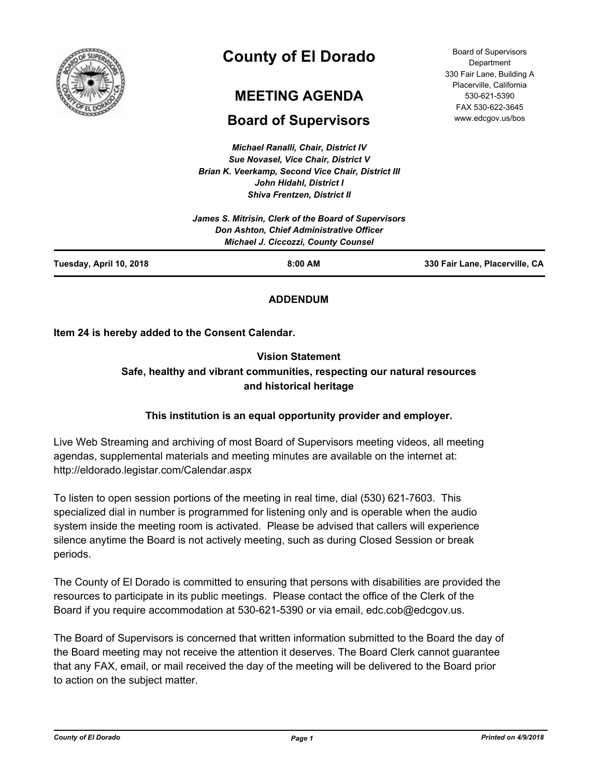

# **County of El Dorado**

## **MEETING AGENDA**

## **Board of Supervisors**

*Michael Ranalli, Chair, District IV Sue Novasel, Vice Chair, District V Brian K. Veerkamp, Second Vice Chair, District III John Hidahl, District I Shiva Frentzen, District II*

|                         | James S. Mitrisin, Clerk of the Board of Supervisors<br>Don Ashton, Chief Administrative Officer<br><b>Michael J. Ciccozzi, County Counsel</b> |                                |
|-------------------------|------------------------------------------------------------------------------------------------------------------------------------------------|--------------------------------|
| Tuesday, April 10, 2018 | $8:00$ AM                                                                                                                                      | 330 Fair Lane, Placerville, CA |

## **ADDENDUM**

**Item 24 is hereby added to the Consent Calendar.**

## **Vision Statement Safe, healthy and vibrant communities, respecting our natural resources and historical heritage**

## **This institution is an equal opportunity provider and employer.**

Live Web Streaming and archiving of most Board of Supervisors meeting videos, all meeting agendas, supplemental materials and meeting minutes are available on the internet at: http://eldorado.legistar.com/Calendar.aspx

To listen to open session portions of the meeting in real time, dial (530) 621-7603. This specialized dial in number is programmed for listening only and is operable when the audio system inside the meeting room is activated. Please be advised that callers will experience silence anytime the Board is not actively meeting, such as during Closed Session or break periods.

The County of El Dorado is committed to ensuring that persons with disabilities are provided the resources to participate in its public meetings. Please contact the office of the Clerk of the Board if you require accommodation at 530-621-5390 or via email, edc.cob@edcgov.us.

The Board of Supervisors is concerned that written information submitted to the Board the day of the Board meeting may not receive the attention it deserves. The Board Clerk cannot guarantee that any FAX, email, or mail received the day of the meeting will be delivered to the Board prior to action on the subject matter.

*County of El Dorado Page 1 Printed on 4/9/2018*

Board of Supervisors **Department** 330 Fair Lane, Building A Placerville, California 530-621-5390 FAX 530-622-3645 www.edcgov.us/bos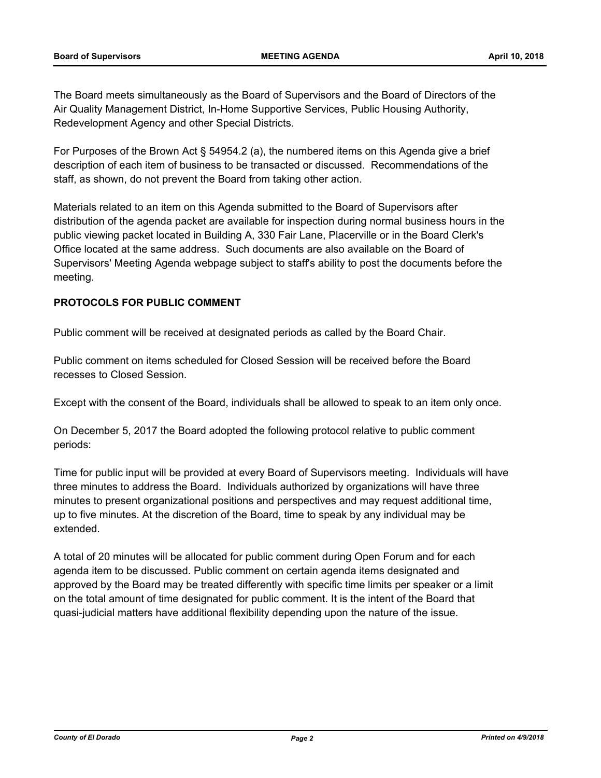The Board meets simultaneously as the Board of Supervisors and the Board of Directors of the Air Quality Management District, In-Home Supportive Services, Public Housing Authority, Redevelopment Agency and other Special Districts.

For Purposes of the Brown Act § 54954.2 (a), the numbered items on this Agenda give a brief description of each item of business to be transacted or discussed. Recommendations of the staff, as shown, do not prevent the Board from taking other action.

Materials related to an item on this Agenda submitted to the Board of Supervisors after distribution of the agenda packet are available for inspection during normal business hours in the public viewing packet located in Building A, 330 Fair Lane, Placerville or in the Board Clerk's Office located at the same address. Such documents are also available on the Board of Supervisors' Meeting Agenda webpage subject to staff's ability to post the documents before the meeting.

## **PROTOCOLS FOR PUBLIC COMMENT**

Public comment will be received at designated periods as called by the Board Chair.

Public comment on items scheduled for Closed Session will be received before the Board recesses to Closed Session.

Except with the consent of the Board, individuals shall be allowed to speak to an item only once.

On December 5, 2017 the Board adopted the following protocol relative to public comment periods:

Time for public input will be provided at every Board of Supervisors meeting. Individuals will have three minutes to address the Board. Individuals authorized by organizations will have three minutes to present organizational positions and perspectives and may request additional time, up to five minutes. At the discretion of the Board, time to speak by any individual may be extended.

A total of 20 minutes will be allocated for public comment during Open Forum and for each agenda item to be discussed. Public comment on certain agenda items designated and approved by the Board may be treated differently with specific time limits per speaker or a limit on the total amount of time designated for public comment. It is the intent of the Board that quasi-judicial matters have additional flexibility depending upon the nature of the issue.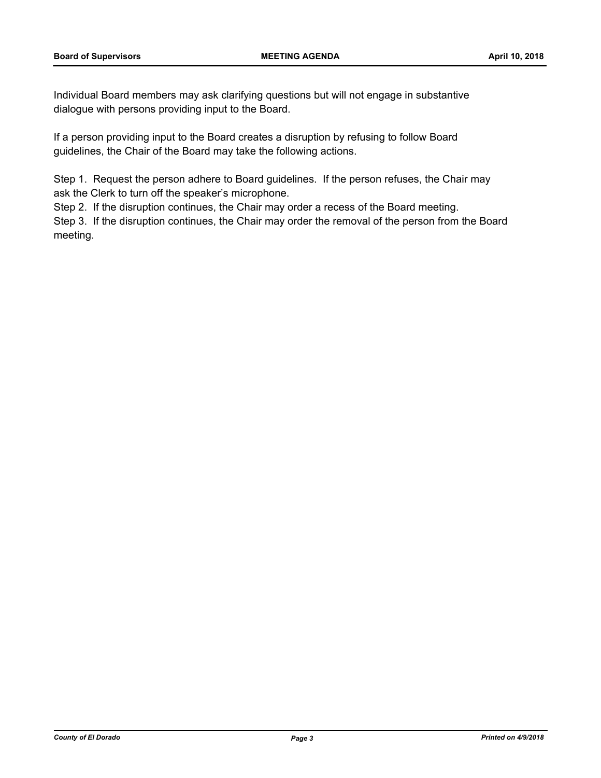Individual Board members may ask clarifying questions but will not engage in substantive dialogue with persons providing input to the Board.

If a person providing input to the Board creates a disruption by refusing to follow Board guidelines, the Chair of the Board may take the following actions.

Step 1. Request the person adhere to Board guidelines. If the person refuses, the Chair may ask the Clerk to turn off the speaker's microphone.

Step 2. If the disruption continues, the Chair may order a recess of the Board meeting.

Step 3. If the disruption continues, the Chair may order the removal of the person from the Board meeting.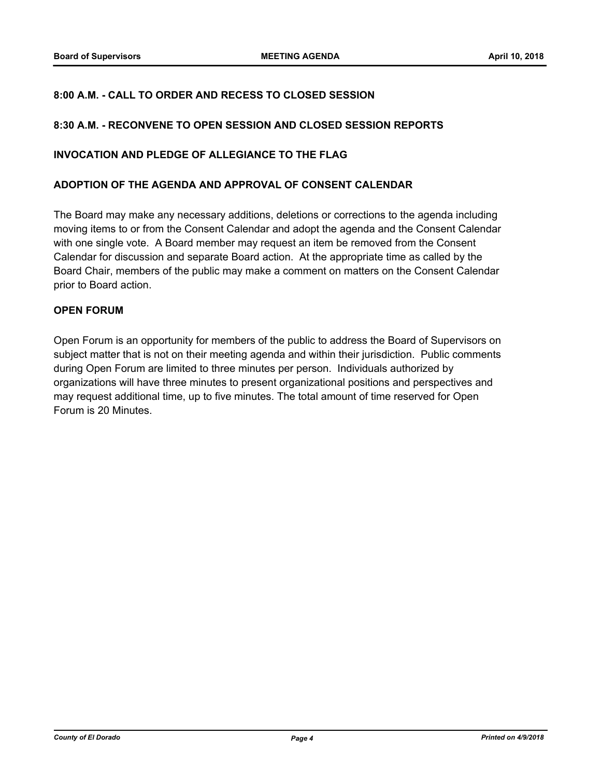### **8:00 A.M. - CALL TO ORDER AND RECESS TO CLOSED SESSION**

#### **8:30 A.M. - RECONVENE TO OPEN SESSION AND CLOSED SESSION REPORTS**

#### **INVOCATION AND PLEDGE OF ALLEGIANCE TO THE FLAG**

#### **ADOPTION OF THE AGENDA AND APPROVAL OF CONSENT CALENDAR**

The Board may make any necessary additions, deletions or corrections to the agenda including moving items to or from the Consent Calendar and adopt the agenda and the Consent Calendar with one single vote. A Board member may request an item be removed from the Consent Calendar for discussion and separate Board action. At the appropriate time as called by the Board Chair, members of the public may make a comment on matters on the Consent Calendar prior to Board action.

#### **OPEN FORUM**

Open Forum is an opportunity for members of the public to address the Board of Supervisors on subject matter that is not on their meeting agenda and within their jurisdiction. Public comments during Open Forum are limited to three minutes per person. Individuals authorized by organizations will have three minutes to present organizational positions and perspectives and may request additional time, up to five minutes. The total amount of time reserved for Open Forum is 20 Minutes.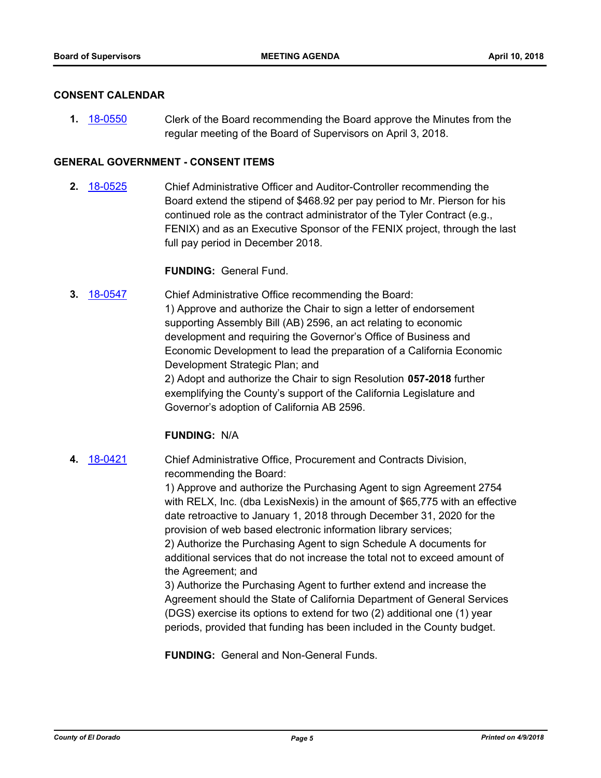#### **CONSENT CALENDAR**

**1.** [18-0550](http://eldorado.legistar.com/gateway.aspx?m=l&id=/matter.aspx?key=23895) Clerk of the Board recommending the Board approve the Minutes from the regular meeting of the Board of Supervisors on April 3, 2018.

#### **GENERAL GOVERNMENT - CONSENT ITEMS**

**2.** [18-0525](http://eldorado.legistar.com/gateway.aspx?m=l&id=/matter.aspx?key=23870) Chief Administrative Officer and Auditor-Controller recommending the Board extend the stipend of \$468.92 per pay period to Mr. Pierson for his continued role as the contract administrator of the Tyler Contract (e.g., FENIX) and as an Executive Sponsor of the FENIX project, through the last full pay period in December 2018.

#### **FUNDING:** General Fund.

**3.** [18-0547](http://eldorado.legistar.com/gateway.aspx?m=l&id=/matter.aspx?key=23892) Chief Administrative Office recommending the Board: 1) Approve and authorize the Chair to sign a letter of endorsement supporting Assembly Bill (AB) 2596, an act relating to economic development and requiring the Governor's Office of Business and Economic Development to lead the preparation of a California Economic Development Strategic Plan; and 2) Adopt and authorize the Chair to sign Resolution **057-2018** further exemplifying the County's support of the California Legislature and Governor's adoption of California AB 2596.

#### **FUNDING:** N/A

**4.** [18-0421](http://eldorado.legistar.com/gateway.aspx?m=l&id=/matter.aspx?key=23766) Chief Administrative Office, Procurement and Contracts Division, recommending the Board:

> 1) Approve and authorize the Purchasing Agent to sign Agreement 2754 with RELX, Inc. (dba LexisNexis) in the amount of \$65,775 with an effective date retroactive to January 1, 2018 through December 31, 2020 for the provision of web based electronic information library services; 2) Authorize the Purchasing Agent to sign Schedule A documents for

additional services that do not increase the total not to exceed amount of the Agreement; and

3) Authorize the Purchasing Agent to further extend and increase the Agreement should the State of California Department of General Services (DGS) exercise its options to extend for two (2) additional one (1) year periods, provided that funding has been included in the County budget.

**FUNDING:** General and Non-General Funds.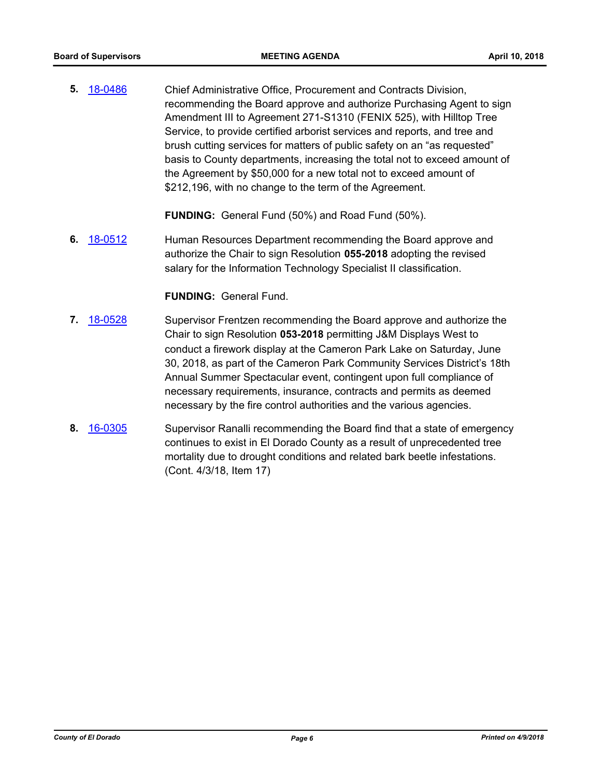**5.** [18-0486](http://eldorado.legistar.com/gateway.aspx?m=l&id=/matter.aspx?key=23831) Chief Administrative Office, Procurement and Contracts Division, recommending the Board approve and authorize Purchasing Agent to sign Amendment III to Agreement 271-S1310 (FENIX 525), with Hilltop Tree Service, to provide certified arborist services and reports, and tree and brush cutting services for matters of public safety on an "as requested" basis to County departments, increasing the total not to exceed amount of the Agreement by \$50,000 for a new total not to exceed amount of \$212,196, with no change to the term of the Agreement.

**FUNDING:** General Fund (50%) and Road Fund (50%).

**6.** [18-0512](http://eldorado.legistar.com/gateway.aspx?m=l&id=/matter.aspx?key=23857) Human Resources Department recommending the Board approve and authorize the Chair to sign Resolution **055-2018** adopting the revised salary for the Information Technology Specialist II classification.

**FUNDING:** General Fund.

- **7.** [18-0528](http://eldorado.legistar.com/gateway.aspx?m=l&id=/matter.aspx?key=23873) Supervisor Frentzen recommending the Board approve and authorize the Chair to sign Resolution **053-2018** permitting J&M Displays West to conduct a firework display at the Cameron Park Lake on Saturday, June 30, 2018, as part of the Cameron Park Community Services District's 18th Annual Summer Spectacular event, contingent upon full compliance of necessary requirements, insurance, contracts and permits as deemed necessary by the fire control authorities and the various agencies.
- **8.** [16-0305](http://eldorado.legistar.com/gateway.aspx?m=l&id=/matter.aspx?key=20961) Supervisor Ranalli recommending the Board find that a state of emergency continues to exist in El Dorado County as a result of unprecedented tree mortality due to drought conditions and related bark beetle infestations. (Cont. 4/3/18, Item 17)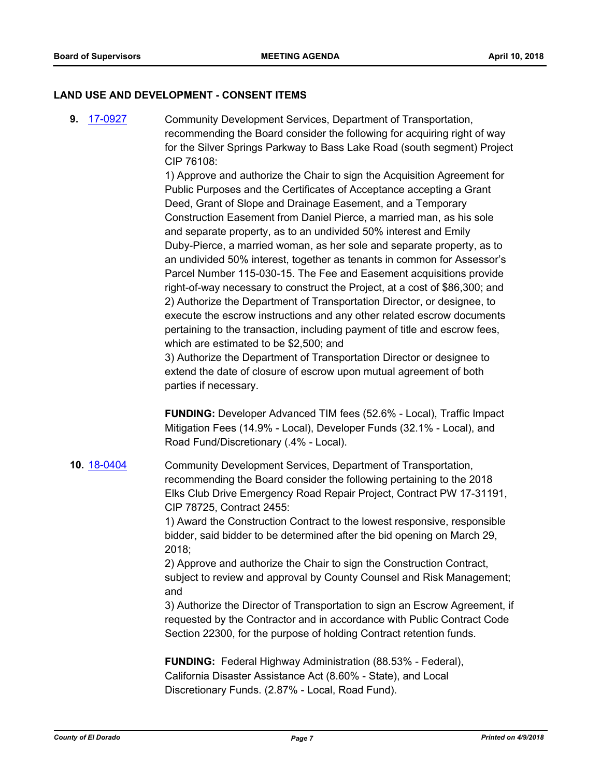#### **LAND USE AND DEVELOPMENT - CONSENT ITEMS**

**9.** [17-0927](http://eldorado.legistar.com/gateway.aspx?m=l&id=/matter.aspx?key=22870) Community Development Services, Department of Transportation, recommending the Board consider the following for acquiring right of way for the Silver Springs Parkway to Bass Lake Road (south segment) Project CIP 76108:

> 1) Approve and authorize the Chair to sign the Acquisition Agreement for Public Purposes and the Certificates of Acceptance accepting a Grant Deed, Grant of Slope and Drainage Easement, and a Temporary Construction Easement from Daniel Pierce, a married man, as his sole and separate property, as to an undivided 50% interest and Emily Duby-Pierce, a married woman, as her sole and separate property, as to an undivided 50% interest, together as tenants in common for Assessor's Parcel Number 115-030-15. The Fee and Easement acquisitions provide right-of-way necessary to construct the Project, at a cost of \$86,300; and 2) Authorize the Department of Transportation Director, or designee, to execute the escrow instructions and any other related escrow documents pertaining to the transaction, including payment of title and escrow fees, which are estimated to be \$2,500; and

3) Authorize the Department of Transportation Director or designee to extend the date of closure of escrow upon mutual agreement of both parties if necessary.

**FUNDING:** Developer Advanced TIM fees (52.6% - Local), Traffic Impact Mitigation Fees (14.9% - Local), Developer Funds (32.1% - Local), and Road Fund/Discretionary (.4% - Local).

## **10.** [18-0404](http://eldorado.legistar.com/gateway.aspx?m=l&id=/matter.aspx?key=23749) Community Development Services, Department of Transportation, recommending the Board consider the following pertaining to the 2018 Elks Club Drive Emergency Road Repair Project, Contract PW 17-31191, CIP 78725, Contract 2455:

1) Award the Construction Contract to the lowest responsive, responsible bidder, said bidder to be determined after the bid opening on March 29, 2018;

2) Approve and authorize the Chair to sign the Construction Contract, subject to review and approval by County Counsel and Risk Management; and

3) Authorize the Director of Transportation to sign an Escrow Agreement, if requested by the Contractor and in accordance with Public Contract Code Section 22300, for the purpose of holding Contract retention funds.

**FUNDING:** Federal Highway Administration (88.53% - Federal), California Disaster Assistance Act (8.60% - State), and Local Discretionary Funds. (2.87% - Local, Road Fund).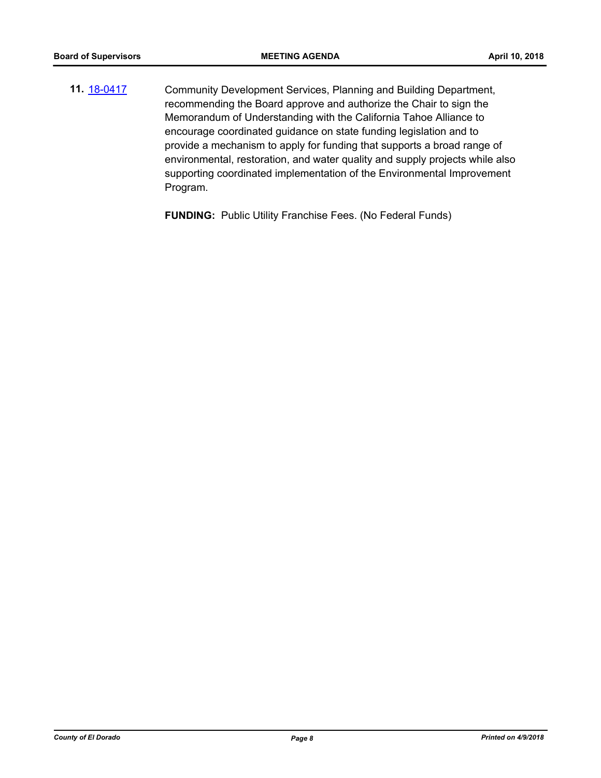**11.** [18-0417](http://eldorado.legistar.com/gateway.aspx?m=l&id=/matter.aspx?key=23762) Community Development Services, Planning and Building Department, recommending the Board approve and authorize the Chair to sign the Memorandum of Understanding with the California Tahoe Alliance to encourage coordinated guidance on state funding legislation and to provide a mechanism to apply for funding that supports a broad range of environmental, restoration, and water quality and supply projects while also supporting coordinated implementation of the Environmental Improvement Program.

**FUNDING:** Public Utility Franchise Fees. (No Federal Funds)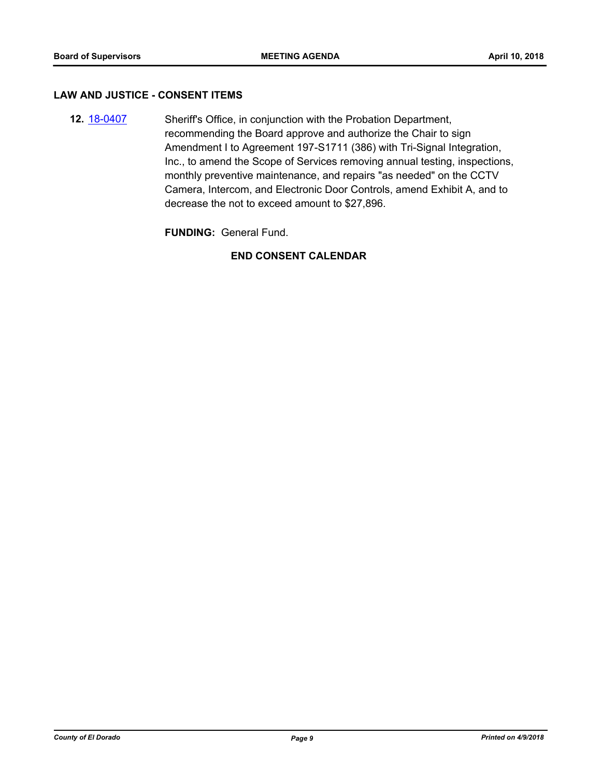#### **LAW AND JUSTICE - CONSENT ITEMS**

**12.** [18-0407](http://eldorado.legistar.com/gateway.aspx?m=l&id=/matter.aspx?key=23752) Sheriff's Office, in conjunction with the Probation Department, recommending the Board approve and authorize the Chair to sign Amendment I to Agreement 197-S1711 (386) with Tri-Signal Integration, Inc., to amend the Scope of Services removing annual testing, inspections, monthly preventive maintenance, and repairs "as needed" on the CCTV Camera, Intercom, and Electronic Door Controls, amend Exhibit A, and to decrease the not to exceed amount to \$27,896.

**FUNDING:** General Fund.

### **END CONSENT CALENDAR**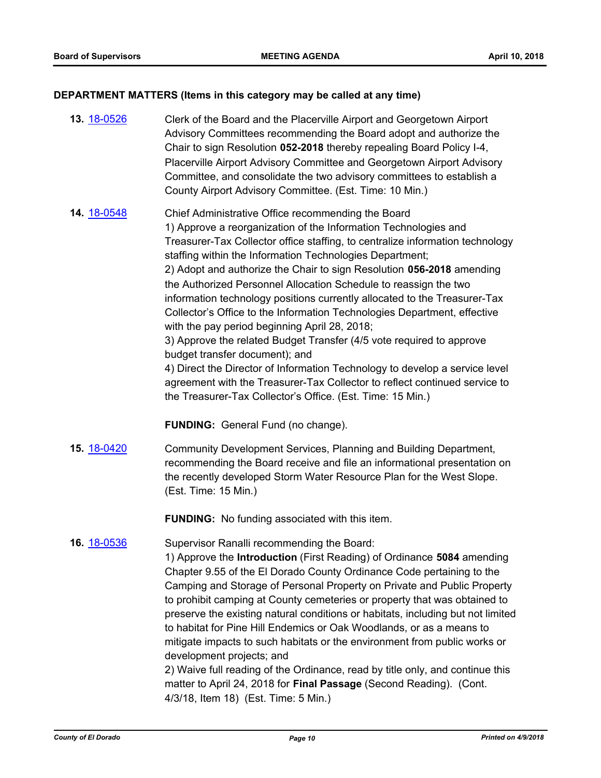#### **DEPARTMENT MATTERS (Items in this category may be called at any time)**

**13.** [18-0526](http://eldorado.legistar.com/gateway.aspx?m=l&id=/matter.aspx?key=23871) Clerk of the Board and the Placerville Airport and Georgetown Airport Advisory Committees recommending the Board adopt and authorize the Chair to sign Resolution **052-2018** thereby repealing Board Policy I-4, Placerville Airport Advisory Committee and Georgetown Airport Advisory Committee, and consolidate the two advisory committees to establish a County Airport Advisory Committee. (Est. Time: 10 Min.) **14.** [18-0548](http://eldorado.legistar.com/gateway.aspx?m=l&id=/matter.aspx?key=23893) Chief Administrative Office recommending the Board 1) Approve a reorganization of the Information Technologies and Treasurer-Tax Collector office staffing, to centralize information technology staffing within the Information Technologies Department; 2) Adopt and authorize the Chair to sign Resolution **056-2018** amending the Authorized Personnel Allocation Schedule to reassign the two information technology positions currently allocated to the Treasurer-Tax Collector's Office to the Information Technologies Department, effective with the pay period beginning April 28, 2018;

> 3) Approve the related Budget Transfer (4/5 vote required to approve budget transfer document); and

4) Direct the Director of Information Technology to develop a service level agreement with the Treasurer-Tax Collector to reflect continued service to the Treasurer-Tax Collector's Office. (Est. Time: 15 Min.)

**FUNDING:** General Fund (no change).

**15.** [18-0420](http://eldorado.legistar.com/gateway.aspx?m=l&id=/matter.aspx?key=23765) Community Development Services, Planning and Building Department, recommending the Board receive and file an informational presentation on the recently developed Storm Water Resource Plan for the West Slope. (Est. Time: 15 Min.)

**FUNDING:** No funding associated with this item.

**16.** [18-0536](http://eldorado.legistar.com/gateway.aspx?m=l&id=/matter.aspx?key=23881) Supervisor Ranalli recommending the Board:

1) Approve the **Introduction** (First Reading) of Ordinance **5084** amending Chapter 9.55 of the El Dorado County Ordinance Code pertaining to the Camping and Storage of Personal Property on Private and Public Property to prohibit camping at County cemeteries or property that was obtained to preserve the existing natural conditions or habitats, including but not limited to habitat for Pine Hill Endemics or Oak Woodlands, or as a means to mitigate impacts to such habitats or the environment from public works or development projects; and

2) Waive full reading of the Ordinance, read by title only, and continue this matter to April 24, 2018 for **Final Passage** (Second Reading). (Cont. 4/3/18, Item 18) (Est. Time: 5 Min.)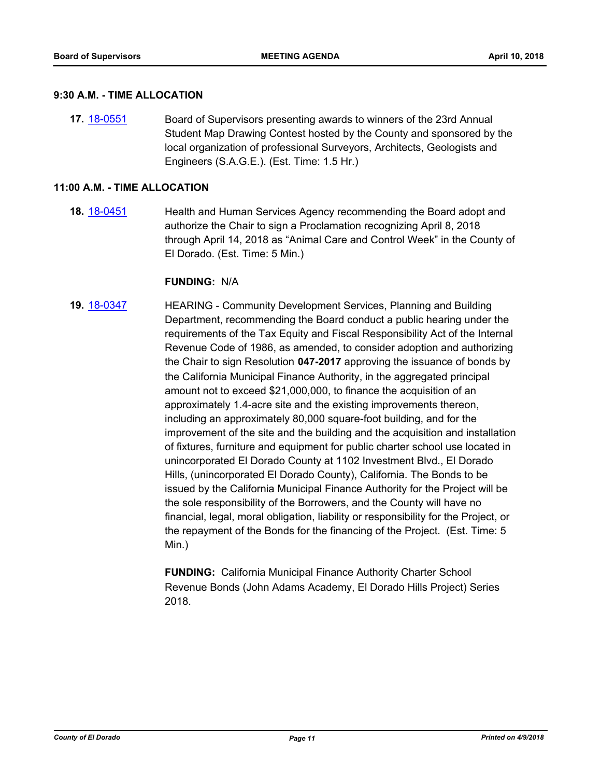#### **9:30 A.M. - TIME ALLOCATION**

**17.** [18-0551](http://eldorado.legistar.com/gateway.aspx?m=l&id=/matter.aspx?key=23896) Board of Supervisors presenting awards to winners of the 23rd Annual Student Map Drawing Contest hosted by the County and sponsored by the local organization of professional Surveyors, Architects, Geologists and Engineers (S.A.G.E.). (Est. Time: 1.5 Hr.)

#### **11:00 A.M. - TIME ALLOCATION**

**18.** [18-0451](http://eldorado.legistar.com/gateway.aspx?m=l&id=/matter.aspx?key=23796) Health and Human Services Agency recommending the Board adopt and authorize the Chair to sign a Proclamation recognizing April 8, 2018 through April 14, 2018 as "Animal Care and Control Week" in the County of El Dorado. (Est. Time: 5 Min.)

#### **FUNDING:** N/A

**19.** [18-0347](http://eldorado.legistar.com/gateway.aspx?m=l&id=/matter.aspx?key=23690) HEARING - Community Development Services, Planning and Building Department, recommending the Board conduct a public hearing under the requirements of the Tax Equity and Fiscal Responsibility Act of the Internal Revenue Code of 1986, as amended, to consider adoption and authorizing the Chair to sign Resolution **047-2017** approving the issuance of bonds by the California Municipal Finance Authority, in the aggregated principal amount not to exceed \$21,000,000, to finance the acquisition of an approximately 1.4-acre site and the existing improvements thereon, including an approximately 80,000 square-foot building, and for the improvement of the site and the building and the acquisition and installation of fixtures, furniture and equipment for public charter school use located in unincorporated El Dorado County at 1102 Investment Blvd., El Dorado Hills, (unincorporated El Dorado County), California. The Bonds to be issued by the California Municipal Finance Authority for the Project will be the sole responsibility of the Borrowers, and the County will have no financial, legal, moral obligation, liability or responsibility for the Project, or the repayment of the Bonds for the financing of the Project. (Est. Time: 5 Min.)

> **FUNDING:** California Municipal Finance Authority Charter School Revenue Bonds (John Adams Academy, El Dorado Hills Project) Series 2018.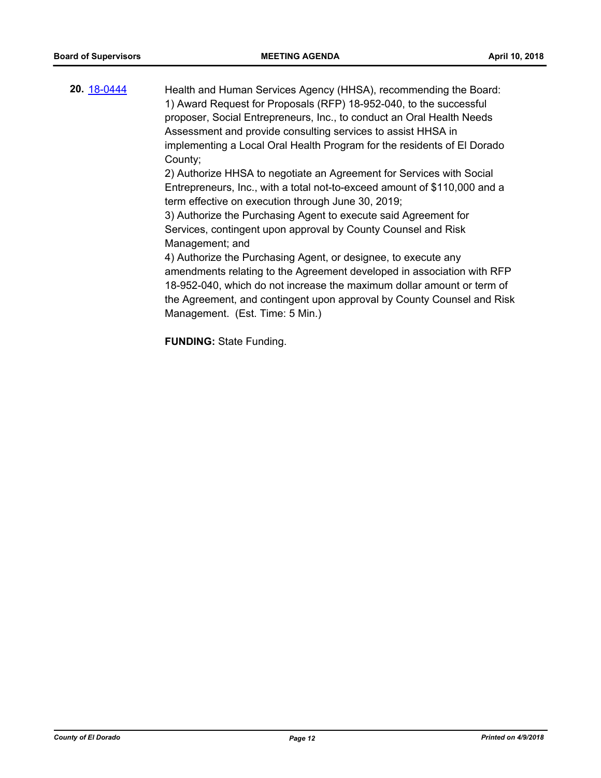**20.** [18-0444](http://eldorado.legistar.com/gateway.aspx?m=l&id=/matter.aspx?key=23789) Health and Human Services Agency (HHSA), recommending the Board: 1) Award Request for Proposals (RFP) 18-952-040, to the successful proposer, Social Entrepreneurs, Inc., to conduct an Oral Health Needs Assessment and provide consulting services to assist HHSA in implementing a Local Oral Health Program for the residents of El Dorado County; 2) Authorize HHSA to negotiate an Agreement for Services with Social Entrepreneurs, Inc., with a total not-to-exceed amount of \$110,000 and a term effective on execution through June 30, 2019; 3) Authorize the Purchasing Agent to execute said Agreement for Services, contingent upon approval by County Counsel and Risk Management; and 4) Authorize the Purchasing Agent, or designee, to execute any amendments relating to the Agreement developed in association with RFP 18-952-040, which do not increase the maximum dollar amount or term of the Agreement, and contingent upon approval by County Counsel and Risk Management. (Est. Time: 5 Min.)

**FUNDING:** State Funding.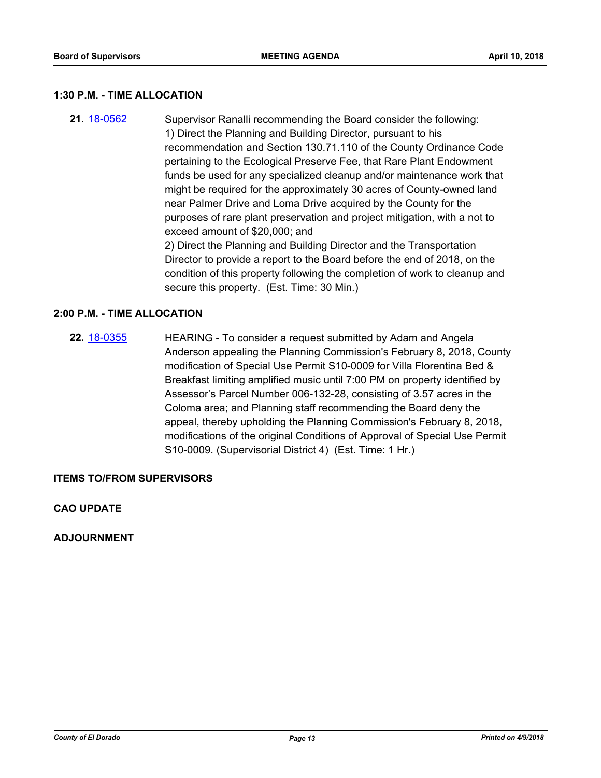#### **1:30 P.M. - TIME ALLOCATION**

**21.** [18-0562](http://eldorado.legistar.com/gateway.aspx?m=l&id=/matter.aspx?key=23907) Supervisor Ranalli recommending the Board consider the following: 1) Direct the Planning and Building Director, pursuant to his recommendation and Section 130.71.110 of the County Ordinance Code pertaining to the Ecological Preserve Fee, that Rare Plant Endowment funds be used for any specialized cleanup and/or maintenance work that might be required for the approximately 30 acres of County-owned land near Palmer Drive and Loma Drive acquired by the County for the purposes of rare plant preservation and project mitigation, with a not to exceed amount of \$20,000; and 2) Direct the Planning and Building Director and the Transportation Director to provide a report to the Board before the end of 2018, on the condition of this property following the completion of work to cleanup and secure this property. (Est. Time: 30 Min.)

#### **2:00 P.M. - TIME ALLOCATION**

**22.** [18-0355](http://eldorado.legistar.com/gateway.aspx?m=l&id=/matter.aspx?key=23698) HEARING - To consider a request submitted by Adam and Angela Anderson appealing the Planning Commission's February 8, 2018, County modification of Special Use Permit S10-0009 for Villa Florentina Bed & Breakfast limiting amplified music until 7:00 PM on property identified by Assessor's Parcel Number 006-132-28, consisting of 3.57 acres in the Coloma area; and Planning staff recommending the Board deny the appeal, thereby upholding the Planning Commission's February 8, 2018, modifications of the original Conditions of Approval of Special Use Permit S10-0009. (Supervisorial District 4) (Est. Time: 1 Hr.)

#### **ITEMS TO/FROM SUPERVISORS**

#### **CAO UPDATE**

**ADJOURNMENT**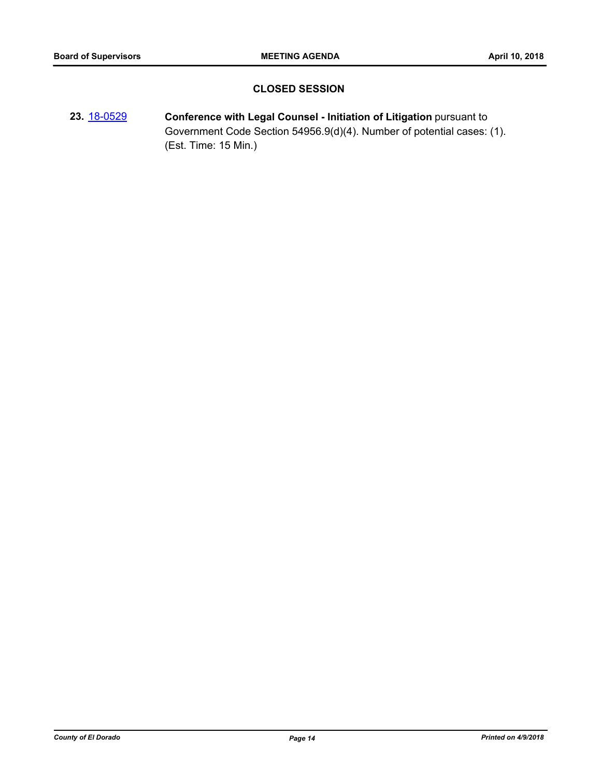## **CLOSED SESSION**

**23.** [18-0529](http://eldorado.legistar.com/gateway.aspx?m=l&id=/matter.aspx?key=23874) **Conference with Legal Counsel - Initiation of Litigation** pursuant to Government Code Section 54956.9(d)(4). Number of potential cases: (1). (Est. Time: 15 Min.)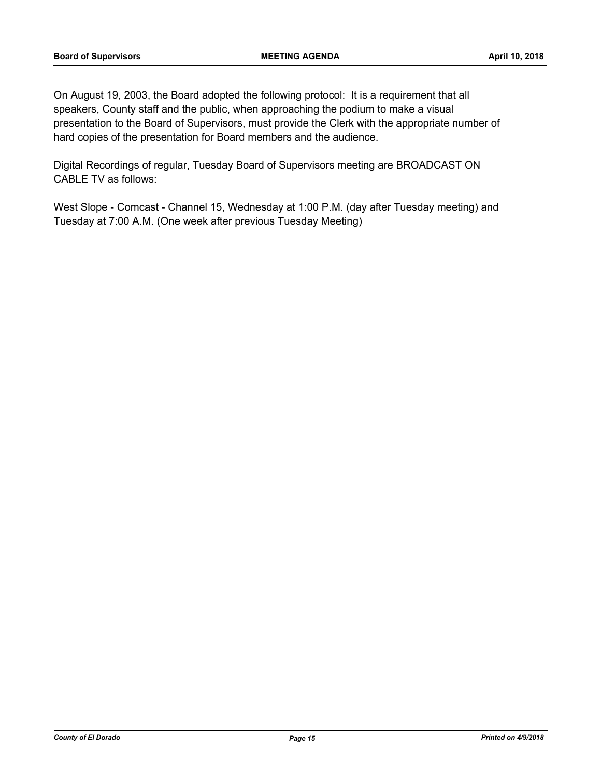On August 19, 2003, the Board adopted the following protocol: It is a requirement that all speakers, County staff and the public, when approaching the podium to make a visual presentation to the Board of Supervisors, must provide the Clerk with the appropriate number of hard copies of the presentation for Board members and the audience.

Digital Recordings of regular, Tuesday Board of Supervisors meeting are BROADCAST ON CABLE TV as follows:

West Slope - Comcast - Channel 15, Wednesday at 1:00 P.M. (day after Tuesday meeting) and Tuesday at 7:00 A.M. (One week after previous Tuesday Meeting)